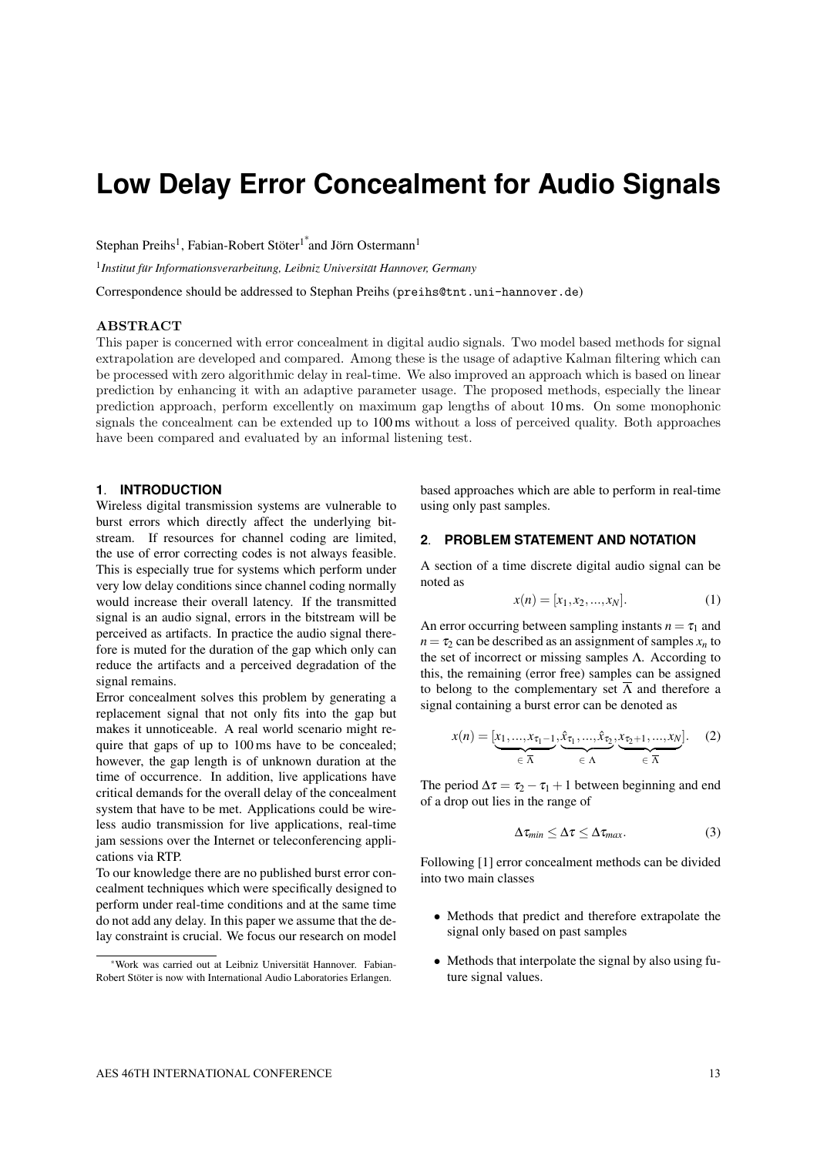# **Low Delay Error Concealment for Audio Signals**

Stephan Preihs<sup>1</sup>, Fabian-Robert Stöter<sup>1\*</sup>and Jörn Ostermann<sup>1</sup>

<sup>1</sup> Institut für Informationsverarbeitung, Leibniz Universität Hannover, Germany

Correspondence should be addressed to Stephan Preihs (preihs@tnt.uni-hannover.de)

#### ABSTRACT

This paper is concerned with error concealment in digital audio signals. Two model based methods for signal extrapolation are developed and compared. Among these is the usage of adaptive Kalman filtering which can be processed with zero algorithmic delay in real-time. We also improved an approach which is based on linear prediction by enhancing it with an adaptive parameter usage. The proposed methods, especially the linear prediction approach, perform excellently on maximum gap lengths of about 10 ms. On some monophonic signals the concealment can be extended up to 100 ms without a loss of perceived quality. Both approaches have been compared and evaluated by an informal listening test.

#### **1**. **INTRODUCTION**

Wireless digital transmission systems are vulnerable to burst errors which directly affect the underlying bitstream. If resources for channel coding are limited, the use of error correcting codes is not always feasible. This is especially true for systems which perform under very low delay conditions since channel coding normally would increase their overall latency. If the transmitted signal is an audio signal, errors in the bitstream will be perceived as artifacts. In practice the audio signal therefore is muted for the duration of the gap which only can reduce the artifacts and a perceived degradation of the signal remains.

Error concealment solves this problem by generating a replacement signal that not only fits into the gap but makes it unnoticeable. A real world scenario might require that gaps of up to 100 ms have to be concealed; however, the gap length is of unknown duration at the time of occurrence. In addition, live applications have critical demands for the overall delay of the concealment system that have to be met. Applications could be wireless audio transmission for live applications, real-time jam sessions over the Internet or teleconferencing applications via RTP.

To our knowledge there are no published burst error concealment techniques which were specifically designed to perform under real-time conditions and at the same time do not add any delay. In this paper we assume that the delay constraint is crucial. We focus our research on model based approaches which are able to perform in real-time using only past samples.

## **2**. **PROBLEM STATEMENT AND NOTATION**

A section of a time discrete digital audio signal can be noted as

$$
x(n) = [x_1, x_2, ..., x_N].
$$
 (1)

An error occurring between sampling instants  $n = \tau_1$  and  $n = \tau_2$  can be described as an assignment of samples  $x_n$  to the set of incorrect or missing samples Λ. According to this, the remaining (error free) samples can be assigned to belong to the complementary set  $\overline{\Lambda}$  and therefore a signal containing a burst error can be denoted as

$$
x(n) = [\underbrace{x_1, ..., x_{\tau_1-1}}_{\in \overline{\Lambda}}, \underbrace{\hat{x}_{\tau_1}, ..., \hat{x}_{\tau_2}}_{\in \Lambda}, \underbrace{x_{\tau_2+1}, ..., x_N}_{\in \overline{\Lambda}}].
$$
 (2)

The period  $\Delta \tau = \tau_2 - \tau_1 + 1$  between beginning and end of a drop out lies in the range of

$$
\Delta \tau_{min} \leq \Delta \tau \leq \Delta \tau_{max}. \tag{3}
$$

Following [1] error concealment methods can be divided into two main classes

- Methods that predict and therefore extrapolate the signal only based on past samples
- Methods that interpolate the signal by also using future signal values.

<sup>∗</sup>Work was carried out at Leibniz Universitat Hannover. Fabian- ¨ Robert Stöter is now with International Audio Laboratories Erlangen.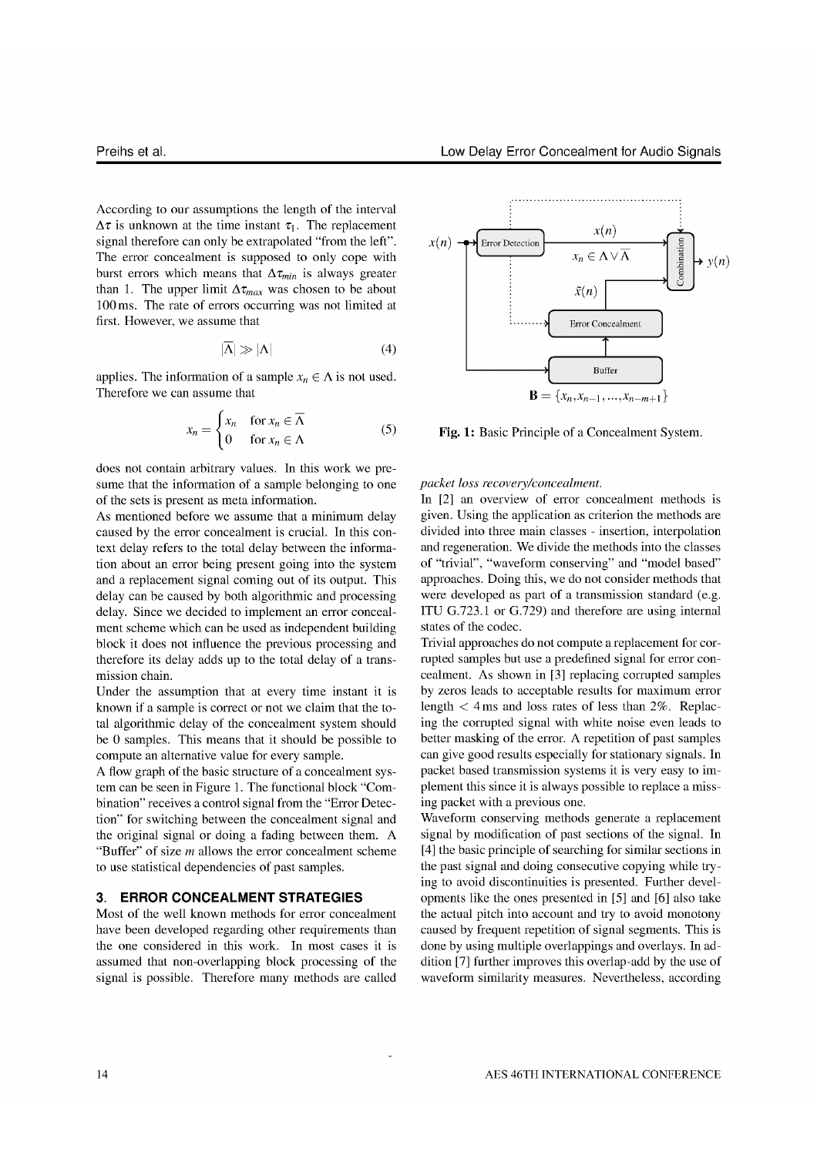According to our assumptions the length of the interval  $\Delta \tau$  is unknown at the time instant  $\tau_1$ . The replacement signal therefore can only be extrapolated "from the left". The error concealment is supposed to only cope with burst errors which means that  $\Delta \tau_{min}$  is always greater than 1. The upper limit  $\Delta \tau_{max}$  was chosen to be about 100 ms. The rate of errors occurring was not limited at first. However, we assume that

$$
|\overline{\Lambda}| \gg |\Lambda| \tag{4}
$$

applies. The information of a sample  $x_n \in \Lambda$  is not used. Therefore we can assume that

$$
x_n = \begin{cases} x_n & \text{for } x_n \in \overline{\Lambda} \\ 0 & \text{for } x_n \in \Lambda \end{cases}
$$
 (5)

does not contain arbitrary values. In this work we presume that the information of a sample belonging to one of the sets is present as meta information.

As mentioned before we assume that a minimum delay caused by the error concealment is crucial. In this context delay refers to the total delay between the information about an error being present going into the system and a replacement signal coming out of its output. This delay can be caused by both algorithmic and processing delay. Since we decided to implement an error concealment scheme which can be used as independent building block it does not influence the previous processing and therefore its delay adds up to the total delay of a transmission chain.

Under the assumption that at every time instant it is known if a sample is correct or not we claim that the total algorithmic delay of the concealment system should be 0 samples. This means that it should be possible to compute an alternative value for every sample.

A flow graph of the basic structure of a concealment system can be seen in Figure 1. The functional block "Combination" receives a control signal from the "Error Detection" for switching between the concealment signal and the original signal or doing a fading between them. A "Buffer" of size  $m$  allows the error concealment scheme to use statistical dependencies of past samples.

#### 3. ERROR CONCEALMENT STRATEGIES

Most of the well known methods for error concealment have been developed regarding other requirements than the one considered in this work. In most cases it is assumed that non-overlapping block processing of the signal is possible. Therefore many methods are called



Fig. 1: Basic Principle of a Concealment System.

#### packet loss recovery/concealment.

In [2] an overview of error concealment methods is given. Using the application as criterion the methods are divided into three main classes - insertion, interpolation and regeneration. We divide the methods into the classes of "trivial", "waveform conserving" and "model based" approaches. Doing this, we do not consider methods that were developed as part of a transmission standard (e.g. ITU G.723.1 or G.729) and therefore are using internal states of the codec.

Trivial approaches do not compute a replacement for corrupted samples but use a predefined signal for error concealment. As shown in [3] replacing corrupted samples by zeros leads to acceptable results for maximum error length  $<$  4 ms and loss rates of less than 2%. Replacing the corrupted signal with white noise even leads to better masking of the error. A repetition of past samples can give good results especially for stationary signals. In packet based transmission systems it is very easy to implement this since it is always possible to replace a missing packet with a previous one.

Waveform conserving methods generate a replacement signal by modification of past sections of the signal. In [4] the basic principle of searching for similar sections in the past signal and doing consecutive copying while trying to avoid discontinuities is presented. Further developments like the ones presented in [5] and [6] also take the actual pitch into account and try to avoid monotony caused by frequent repetition of signal segments. This is done by using multiple overlappings and overlays. In addition [7] further improves this overlap-add by the use of waveform similarity measures. Nevertheless, according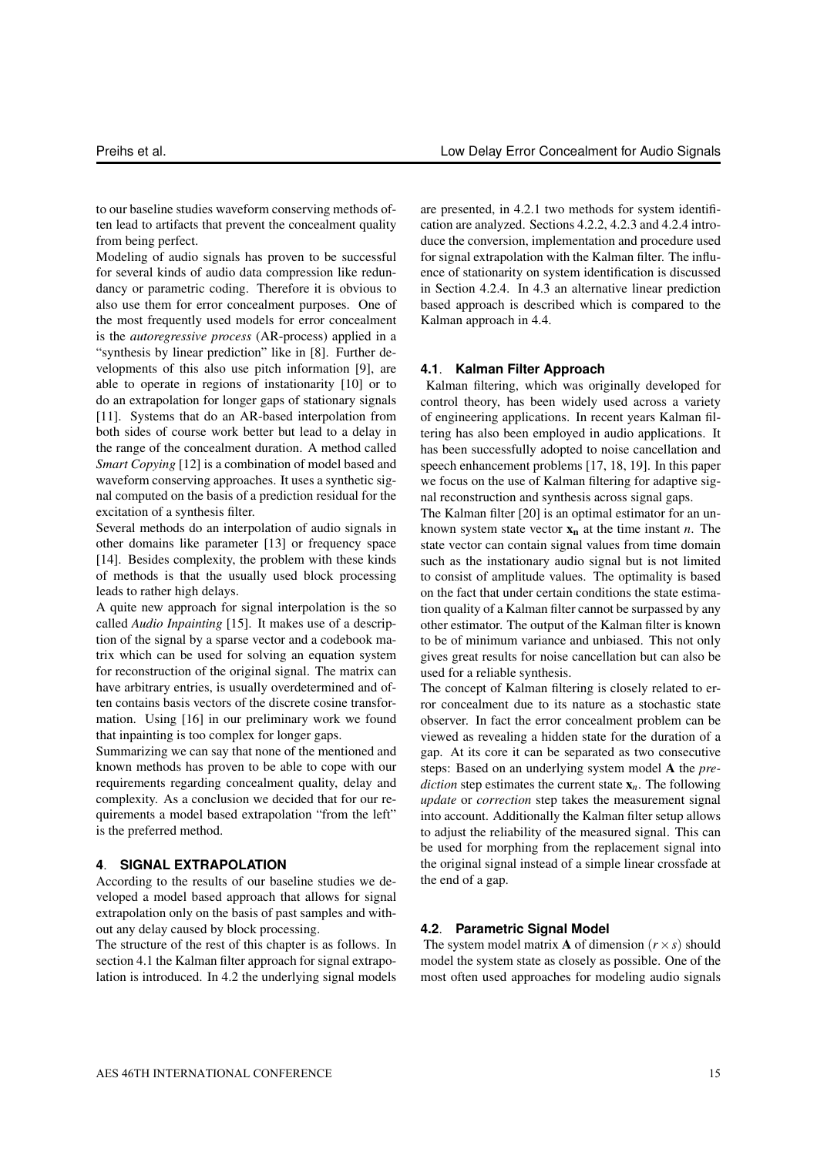to our baseline studies waveform conserving methods often lead to artifacts that prevent the concealment quality from being perfect.

Modeling of audio signals has proven to be successful for several kinds of audio data compression like redundancy or parametric coding. Therefore it is obvious to also use them for error concealment purposes. One of the most frequently used models for error concealment is the *autoregressive process* (AR-process) applied in a "synthesis by linear prediction" like in [8]. Further developments of this also use pitch information [9], are able to operate in regions of instationarity [10] or to do an extrapolation for longer gaps of stationary signals [11]. Systems that do an AR-based interpolation from both sides of course work better but lead to a delay in the range of the concealment duration. A method called *Smart Copying* [12] is a combination of model based and waveform conserving approaches. It uses a synthetic signal computed on the basis of a prediction residual for the excitation of a synthesis filter.

Several methods do an interpolation of audio signals in other domains like parameter [13] or frequency space [14]. Besides complexity, the problem with these kinds of methods is that the usually used block processing leads to rather high delays.

A quite new approach for signal interpolation is the so called *Audio Inpainting* [15]. It makes use of a description of the signal by a sparse vector and a codebook matrix which can be used for solving an equation system for reconstruction of the original signal. The matrix can have arbitrary entries, is usually overdetermined and often contains basis vectors of the discrete cosine transformation. Using [16] in our preliminary work we found that inpainting is too complex for longer gaps.

Summarizing we can say that none of the mentioned and known methods has proven to be able to cope with our requirements regarding concealment quality, delay and complexity. As a conclusion we decided that for our requirements a model based extrapolation "from the left" is the preferred method.

## **4**. **SIGNAL EXTRAPOLATION**

According to the results of our baseline studies we developed a model based approach that allows for signal extrapolation only on the basis of past samples and without any delay caused by block processing.

The structure of the rest of this chapter is as follows. In section 4.1 the Kalman filter approach for signal extrapolation is introduced. In 4.2 the underlying signal models are presented, in 4.2.1 two methods for system identification are analyzed. Sections 4.2.2, 4.2.3 and 4.2.4 introduce the conversion, implementation and procedure used for signal extrapolation with the Kalman filter. The influence of stationarity on system identification is discussed in Section 4.2.4. In 4.3 an alternative linear prediction based approach is described which is compared to the Kalman approach in 4.4.

## **4.1**. **Kalman Filter Approach**

Kalman filtering, which was originally developed for control theory, has been widely used across a variety of engineering applications. In recent years Kalman filtering has also been employed in audio applications. It has been successfully adopted to noise cancellation and speech enhancement problems [17, 18, 19]. In this paper we focus on the use of Kalman filtering for adaptive signal reconstruction and synthesis across signal gaps.

The Kalman filter [20] is an optimal estimator for an unknown system state vector  $x_n$  at the time instant *n*. The state vector can contain signal values from time domain such as the instationary audio signal but is not limited to consist of amplitude values. The optimality is based on the fact that under certain conditions the state estimation quality of a Kalman filter cannot be surpassed by any other estimator. The output of the Kalman filter is known to be of minimum variance and unbiased. This not only gives great results for noise cancellation but can also be used for a reliable synthesis.

The concept of Kalman filtering is closely related to error concealment due to its nature as a stochastic state observer. In fact the error concealment problem can be viewed as revealing a hidden state for the duration of a gap. At its core it can be separated as two consecutive steps: Based on an underlying system model A the *prediction* step estimates the current state x*n*. The following *update* or *correction* step takes the measurement signal into account. Additionally the Kalman filter setup allows to adjust the reliability of the measured signal. This can be used for morphing from the replacement signal into the original signal instead of a simple linear crossfade at the end of a gap.

## **4.2**. **Parametric Signal Model**

The system model matrix **A** of dimension  $(r \times s)$  should model the system state as closely as possible. One of the most often used approaches for modeling audio signals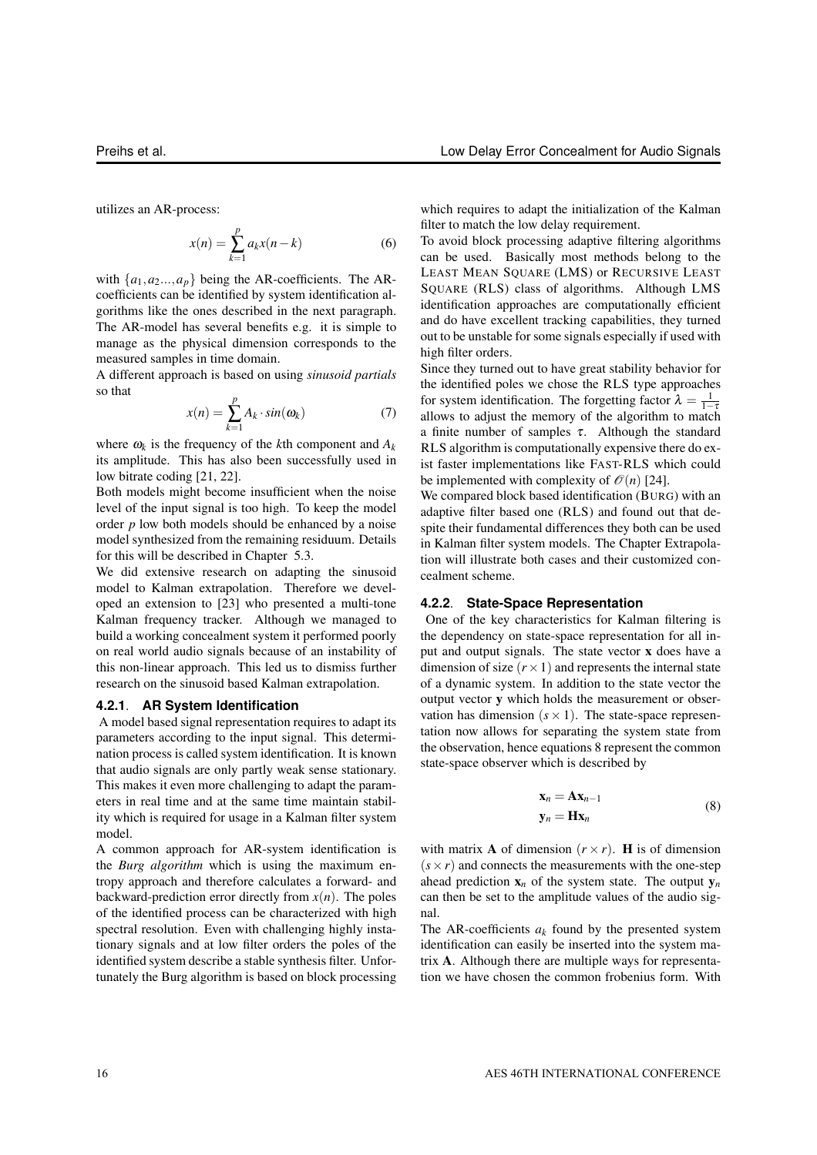$$
x(n) = \sum_{k=1}^{p} a_k x(n-k)
$$
 (6)

with  $\{a_1, a_2, \ldots, a_p\}$  being the AR-coefficients. The ARcoefficients can be identified by system identification algorithms like the ones described in the next paragraph. The AR-model has several benefits e.g. it is simple to manage as the physical dimension corresponds to the measured samples in time domain.

A different approach is based on using *sinusoid partials* so that

$$
x(n) = \sum_{k=1}^{p} A_k \cdot \sin(\omega_k)
$$
 (7)

where  $\omega_k$  is the frequency of the *k*th component and  $A_k$ its amplitude. This has also been successfully used in low bitrate coding [21, 22].

Both models might become insufficient when the noise level of the input signal is too high. To keep the model order *p* low both models should be enhanced by a noise model synthesized from the remaining residuum. Details for this will be described in Chapter 5.3.

We did extensive research on adapting the sinusoid model to Kalman extrapolation. Therefore we developed an extension to [23] who presented a multi-tone Kalman frequency tracker. Although we managed to build a working concealment system it performed poorly on real world audio signals because of an instability of this non-linear approach. This led us to dismiss further research on the sinusoid based Kalman extrapolation.

#### **4.2.1**. **AR System Identification**

A model based signal representation requires to adapt its parameters according to the input signal. This determination process is called system identification. It is known that audio signals are only partly weak sense stationary. This makes it even more challenging to adapt the parameters in real time and at the same time maintain stability which is required for usage in a Kalman filter system model.

A common approach for AR-system identification is the *Burg algorithm* which is using the maximum entropy approach and therefore calculates a forward- and backward-prediction error directly from  $x(n)$ . The poles of the identified process can be characterized with high spectral resolution. Even with challenging highly instationary signals and at low filter orders the poles of the identified system describe a stable synthesis filter. Unfortunately the Burg algorithm is based on block processing which requires to adapt the initialization of the Kalman filter to match the low delay requirement.

To avoid block processing adaptive filtering algorithms can be used. Basically most methods belong to the LEAST MEAN SQUARE (LMS) or RECURSIVE LEAST SQUARE (RLS) class of algorithms. Although LMS identification approaches are computationally efficient and do have excellent tracking capabilities, they turned out to be unstable for some signals especially if used with high filter orders.

Since they turned out to have great stability behavior for the identified poles we chose the RLS type approaches for system identification. The forgetting factor  $\lambda = \frac{1}{1-\tau}$ allows to adjust the memory of the algorithm to match a finite number of samples  $\tau$ . Although the standard RLS algorithm is computationally expensive there do exist faster implementations like FAST-RLS which could be implemented with complexity of  $\mathcal{O}(n)$  [24].

We compared block based identification (BURG) with an adaptive filter based one (RLS) and found out that despite their fundamental differences they both can be used in Kalman filter system models. The Chapter Extrapolation will illustrate both cases and their customized concealment scheme.

#### **4.2.2**. **State-Space Representation**

One of the key characteristics for Kalman filtering is the dependency on state-space representation for all input and output signals. The state vector x does have a dimension of size  $(r \times 1)$  and represents the internal state of a dynamic system. In addition to the state vector the output vector y which holds the measurement or observation has dimension  $(s \times 1)$ . The state-space representation now allows for separating the system state from the observation, hence equations 8 represent the common state-space observer which is described by

$$
\mathbf{x}_n = \mathbf{A}\mathbf{x}_{n-1} \n\mathbf{y}_n = \mathbf{H}\mathbf{x}_n
$$
\n(8)

with matrix **A** of dimension  $(r \times r)$ . **H** is of dimension  $(s \times r)$  and connects the measurements with the one-step ahead prediction  $\mathbf{x}_n$  of the system state. The output  $\mathbf{v}_n$ can then be set to the amplitude values of the audio signal.

The AR-coefficients  $a_k$  found by the presented system identification can easily be inserted into the system matrix A. Although there are multiple ways for representation we have chosen the common frobenius form. With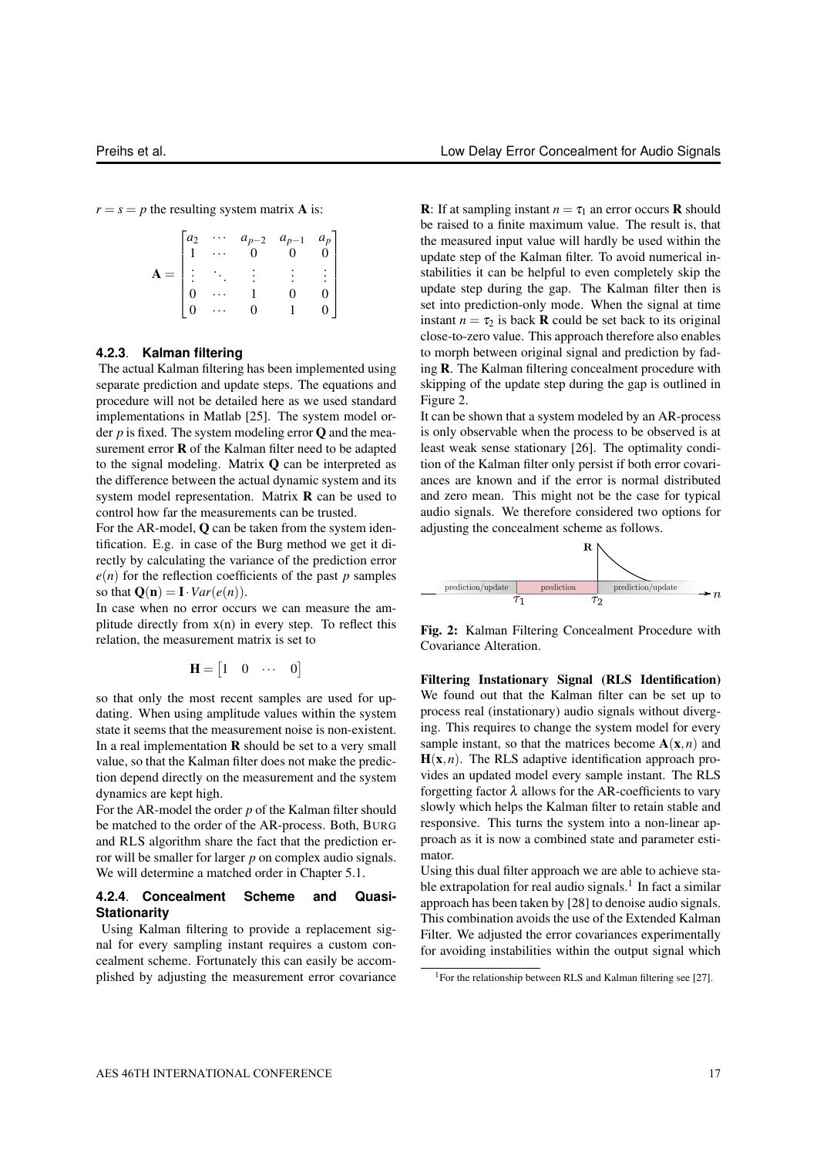$r = s = p$  the resulting system matrix **A** is:

| $a_2$ |                           | $a_{p-2}$<br>0 | $a_{p-1}$<br>$\Omega$ | $\begin{bmatrix} a_p \\ 0 \end{bmatrix}$ |
|-------|---------------------------|----------------|-----------------------|------------------------------------------|
|       | $\mathcal{O}(\mathbb{Z})$ |                |                       | :                                        |
|       |                           |                |                       |                                          |
|       |                           |                |                       |                                          |

#### **4.2.3**. **Kalman filtering**

The actual Kalman filtering has been implemented using separate prediction and update steps. The equations and procedure will not be detailed here as we used standard implementations in Matlab [25]. The system model order *p* is fixed. The system modeling error Q and the measurement error **R** of the Kalman filter need to be adapted to the signal modeling. Matrix Q can be interpreted as the difference between the actual dynamic system and its system model representation. Matrix R can be used to control how far the measurements can be trusted.

For the AR-model, Q can be taken from the system identification. E.g. in case of the Burg method we get it directly by calculating the variance of the prediction error  $e(n)$  for the reflection coefficients of the past *p* samples so that  $\mathbf{Q}(\mathbf{n}) = \mathbf{I} \cdot Var(e(n)).$ 

In case when no error occurs we can measure the amplitude directly from  $x(n)$  in every step. To reflect this relation, the measurement matrix is set to

$$
\mathbf{H} = \begin{bmatrix} 1 & 0 & \cdots & 0 \end{bmatrix}
$$

so that only the most recent samples are used for updating. When using amplitude values within the system state it seems that the measurement noise is non-existent. In a real implementation  **should be set to a very small** value, so that the Kalman filter does not make the prediction depend directly on the measurement and the system dynamics are kept high.

For the AR-model the order *p* of the Kalman filter should be matched to the order of the AR-process. Both, BURG and RLS algorithm share the fact that the prediction error will be smaller for larger *p* on complex audio signals. We will determine a matched order in Chapter 5.1.

## **4.2.4**. **Concealment Scheme and Quasi-Stationarity**

Using Kalman filtering to provide a replacement signal for every sampling instant requires a custom concealment scheme. Fortunately this can easily be accomplished by adjusting the measurement error covariance **R**: If at sampling instant  $n = \tau_1$  an error occurs **R** should be raised to a finite maximum value. The result is, that the measured input value will hardly be used within the update step of the Kalman filter. To avoid numerical instabilities it can be helpful to even completely skip the update step during the gap. The Kalman filter then is set into prediction-only mode. When the signal at time instant  $n = \tau_2$  is back **R** could be set back to its original close-to-zero value. This approach therefore also enables to morph between original signal and prediction by fading R. The Kalman filtering concealment procedure with skipping of the update step during the gap is outlined in Figure 2.

It can be shown that a system modeled by an AR-process is only observable when the process to be observed is at least weak sense stationary [26]. The optimality condition of the Kalman filter only persist if both error covariances are known and if the error is normal distributed and zero mean. This might not be the case for typical audio signals. We therefore considered two options for adjusting the concealment scheme as follows.



Fig. 2: Kalman Filtering Concealment Procedure with Covariance Alteration.

Filtering Instationary Signal (RLS Identification) We found out that the Kalman filter can be set up to process real (instationary) audio signals without diverging. This requires to change the system model for every sample instant, so that the matrices become  $A(x, n)$  and  $H(x, n)$ . The RLS adaptive identification approach provides an updated model every sample instant. The RLS forgetting factor  $\lambda$  allows for the AR-coefficients to vary slowly which helps the Kalman filter to retain stable and responsive. This turns the system into a non-linear approach as it is now a combined state and parameter estimator.

Using this dual filter approach we are able to achieve stable extrapolation for real audio signals.<sup>1</sup> In fact a similar approach has been taken by [28] to denoise audio signals. This combination avoids the use of the Extended Kalman Filter. We adjusted the error covariances experimentally for avoiding instabilities within the output signal which

<sup>&</sup>lt;sup>1</sup>For the relationship between RLS and Kalman filtering see [27].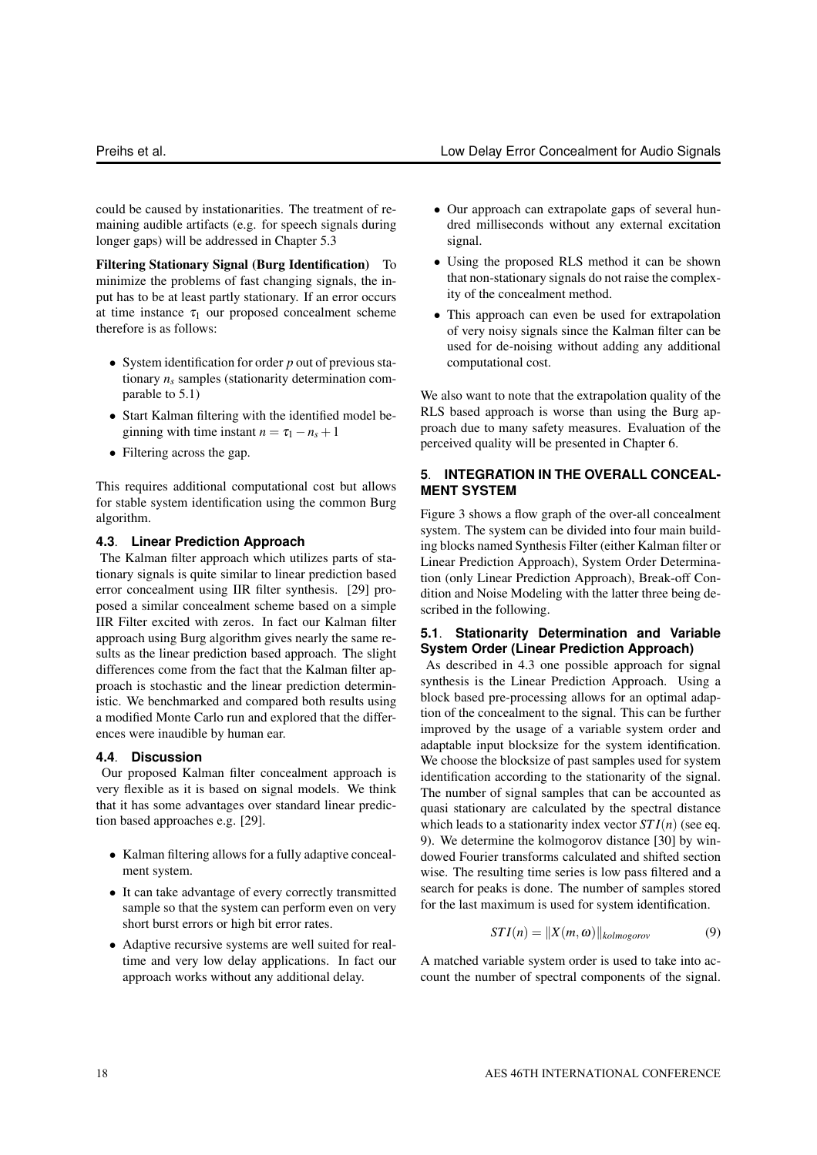could be caused by instationarities. The treatment of remaining audible artifacts (e.g. for speech signals during longer gaps) will be addressed in Chapter 5.3

Filtering Stationary Signal (Burg Identification) To minimize the problems of fast changing signals, the input has to be at least partly stationary. If an error occurs at time instance  $\tau_1$  our proposed concealment scheme therefore is as follows:

- System identification for order *p* out of previous stationary *n<sup>s</sup>* samples (stationarity determination comparable to 5.1)
- Start Kalman filtering with the identified model beginning with time instant  $n = \tau_1 - n_s + 1$
- Filtering across the gap.

This requires additional computational cost but allows for stable system identification using the common Burg algorithm.

#### **4.3**. **Linear Prediction Approach**

The Kalman filter approach which utilizes parts of stationary signals is quite similar to linear prediction based error concealment using IIR filter synthesis. [29] proposed a similar concealment scheme based on a simple IIR Filter excited with zeros. In fact our Kalman filter approach using Burg algorithm gives nearly the same results as the linear prediction based approach. The slight differences come from the fact that the Kalman filter approach is stochastic and the linear prediction deterministic. We benchmarked and compared both results using a modified Monte Carlo run and explored that the differences were inaudible by human ear.

## **4.4**. **Discussion**

Our proposed Kalman filter concealment approach is very flexible as it is based on signal models. We think that it has some advantages over standard linear prediction based approaches e.g. [29].

- Kalman filtering allows for a fully adaptive concealment system.
- It can take advantage of every correctly transmitted sample so that the system can perform even on very short burst errors or high bit error rates.
- Adaptive recursive systems are well suited for realtime and very low delay applications. In fact our approach works without any additional delay.
- Our approach can extrapolate gaps of several hundred milliseconds without any external excitation signal.
- Using the proposed RLS method it can be shown that non-stationary signals do not raise the complexity of the concealment method.
- This approach can even be used for extrapolation of very noisy signals since the Kalman filter can be used for de-noising without adding any additional computational cost.

We also want to note that the extrapolation quality of the RLS based approach is worse than using the Burg approach due to many safety measures. Evaluation of the perceived quality will be presented in Chapter 6.

# **5**. **INTEGRATION IN THE OVERALL CONCEAL-MENT SYSTEM**

Figure 3 shows a flow graph of the over-all concealment system. The system can be divided into four main building blocks named Synthesis Filter (either Kalman filter or Linear Prediction Approach), System Order Determination (only Linear Prediction Approach), Break-off Condition and Noise Modeling with the latter three being described in the following.

## **5.1**. **Stationarity Determination and Variable System Order (Linear Prediction Approach)**

As described in 4.3 one possible approach for signal synthesis is the Linear Prediction Approach. Using a block based pre-processing allows for an optimal adaption of the concealment to the signal. This can be further improved by the usage of a variable system order and adaptable input blocksize for the system identification. We choose the blocksize of past samples used for system identification according to the stationarity of the signal. The number of signal samples that can be accounted as quasi stationary are calculated by the spectral distance which leads to a stationarity index vector *ST I*(*n*) (see eq. 9). We determine the kolmogorov distance [30] by windowed Fourier transforms calculated and shifted section wise. The resulting time series is low pass filtered and a search for peaks is done. The number of samples stored for the last maximum is used for system identification.

$$
STI(n) = ||X(m, \omega)||_{kolmogorov}
$$
 (9)

A matched variable system order is used to take into account the number of spectral components of the signal.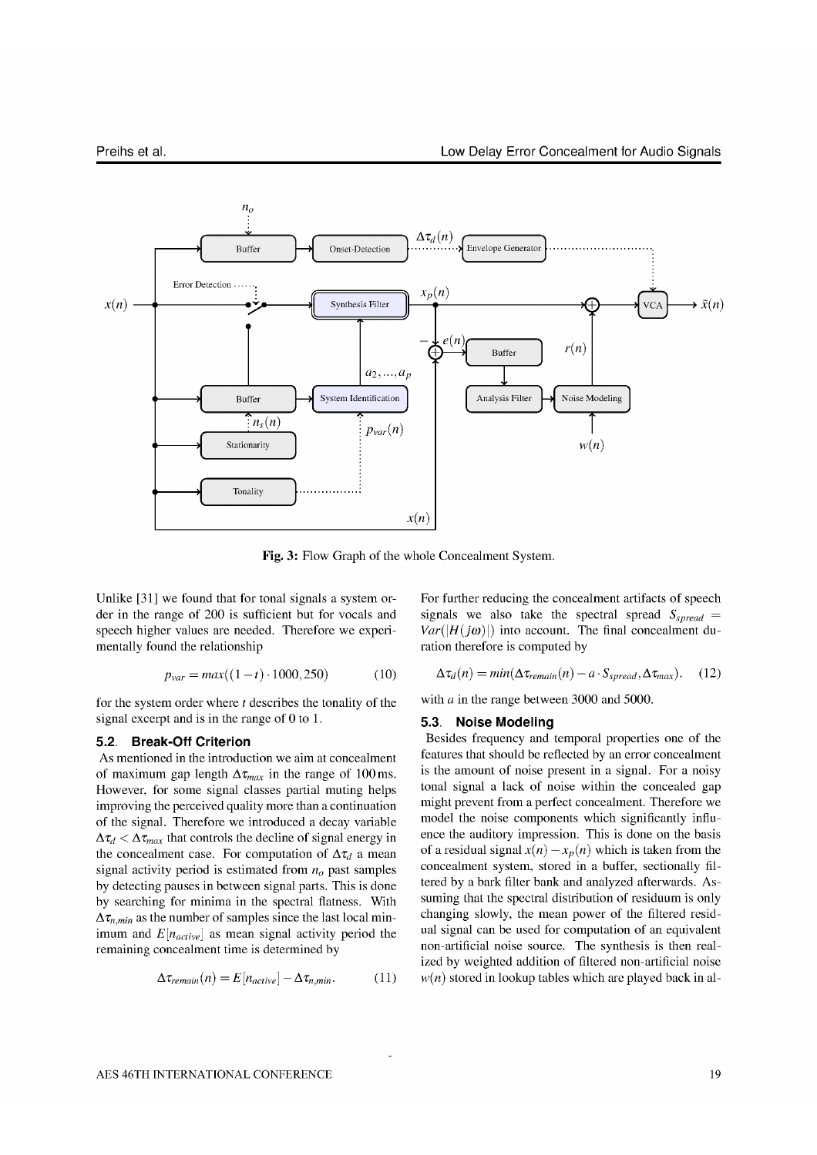

Fig. 3: Flow Graph of the whole Concealment System.

Unlike [31] we found that for tonal signals a system order in the range of 200 is sufficient but for vocals and speech higher values are needed. Therefore we experimentally found the relationship

$$
p_{var} = max((1 - t) \cdot 1000, 250)
$$
 (10)

for the system order where  $t$  describes the tonality of the signal excerpt and is in the range of  $0$  to 1.

## 5.2. Break-Off Criterion

As mentioned in the introduction we aim at concealment of maximum gap length  $\Delta \tau_{max}$  in the range of 100 ms. However, for some signal classes partial muting helps improving the perceived quality more than a continuation of the signal. Therefore we introduced a decay variable  $\Delta \tau_d < \Delta \tau_{max}$  that controls the decline of signal energy in the concealment case. For computation of  $\Delta \tau_d$  a mean signal activity period is estimated from  $n<sub>o</sub>$  past samples by detecting pauses in between signal parts. This is done by searching for minima in the spectral flatness. With  $\Delta \tau_{n,min}$  as the number of samples since the last local minimum and  $E[n_{active}]$  as mean signal activity period the remaining concealment time is determined by

$$
\Delta \tau_{remain}(n) = E[n_{active}] - \Delta \tau_{n,min}.
$$
 (11)

For further reducing the concealment artifacts of speech signals we also take the spectral spread  $S_{spread}$  =  $Var(|H(j\omega)|)$  into account. The final concealment duration therefore is computed by

$$
\Delta \tau_d(n) = \min(\Delta \tau_{remain}(n) - a \cdot S_{spread}, \Delta \tau_{max}). \quad (12)
$$

with  $a$  in the range between 3000 and 5000.

#### 5.3. Noise Modeling

Besides frequency and temporal properties one of the features that should be reflected by an error concealment is the amount of noise present in a signal. For a noisy tonal signal a lack of noise within the concealed gap might prevent from a perfect concealment. Therefore we model the noise components which significantly influence the auditory impression. This is done on the basis of a residual signal  $x(n) - x_n(n)$  which is taken from the concealment system, stored in a buffer, sectionally filtered by a bark filter bank and analyzed afterwards. Assuming that the spectral distribution of residuum is only changing slowly, the mean power of the filtered residual signal can be used for computation of an equivalent non-artificial noise source. The synthesis is then realized by weighted addition of filtered non-artificial noise  $w(n)$  stored in lookup tables which are played back in al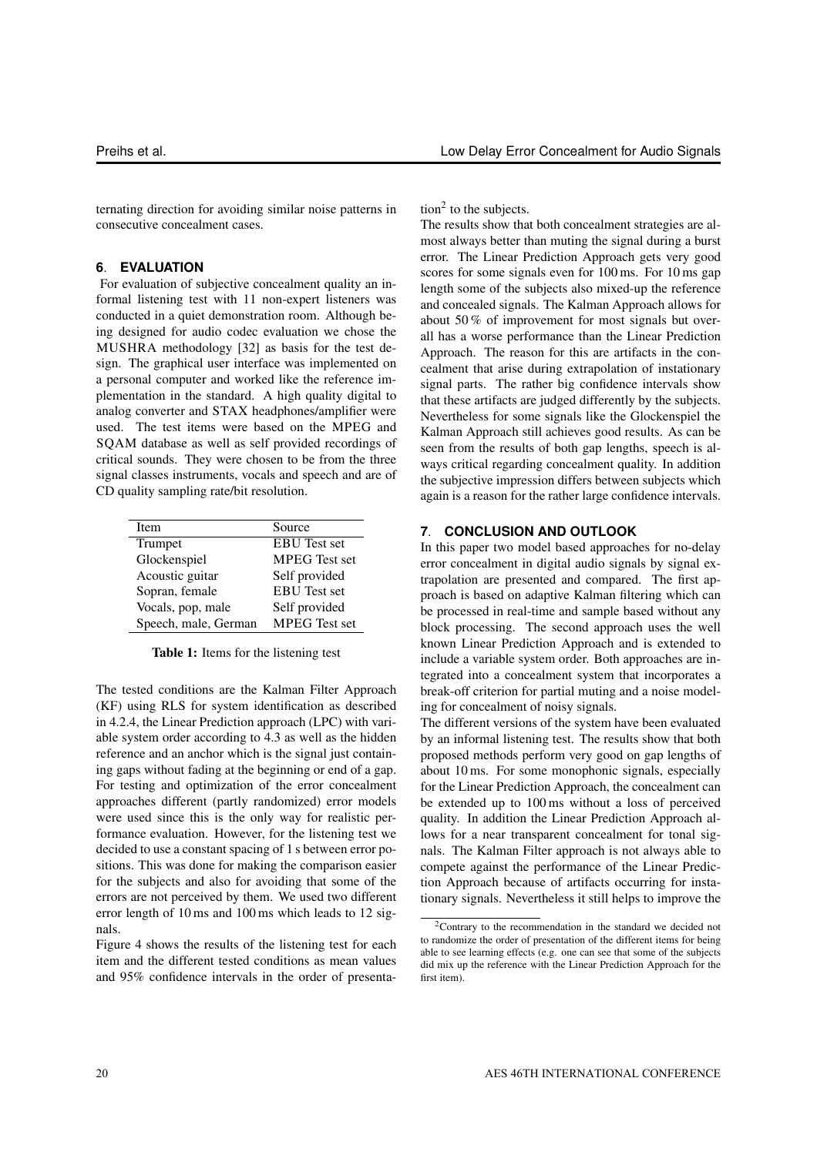ternating direction for avoiding similar noise patterns in consecutive concealment cases.

# **6**. **EVALUATION**

For evaluation of subjective concealment quality an informal listening test with 11 non-expert listeners was conducted in a quiet demonstration room. Although being designed for audio codec evaluation we chose the MUSHRA methodology [32] as basis for the test design. The graphical user interface was implemented on a personal computer and worked like the reference implementation in the standard. A high quality digital to analog converter and STAX headphones/amplifier were used. The test items were based on the MPEG and SQAM database as well as self provided recordings of critical sounds. They were chosen to be from the three signal classes instruments, vocals and speech and are of CD quality sampling rate/bit resolution.

| Item                 | Source               |  |  |
|----------------------|----------------------|--|--|
| Trumpet              | <b>EBU</b> Test set  |  |  |
| Glockenspiel         | <b>MPEG</b> Test set |  |  |
| Acoustic guitar      | Self provided        |  |  |
| Sopran, female       | <b>EBU</b> Test set  |  |  |
| Vocals, pop, male    | Self provided        |  |  |
| Speech, male, German | <b>MPEG</b> Test set |  |  |

Table 1: Items for the listening test

The tested conditions are the Kalman Filter Approach (KF) using RLS for system identification as described in 4.2.4, the Linear Prediction approach (LPC) with variable system order according to 4.3 as well as the hidden reference and an anchor which is the signal just containing gaps without fading at the beginning or end of a gap. For testing and optimization of the error concealment approaches different (partly randomized) error models were used since this is the only way for realistic performance evaluation. However, for the listening test we decided to use a constant spacing of 1 s between error positions. This was done for making the comparison easier for the subjects and also for avoiding that some of the errors are not perceived by them. We used two different error length of 10 ms and 100 ms which leads to 12 signals.

Figure 4 shows the results of the listening test for each item and the different tested conditions as mean values and 95% confidence intervals in the order of presenta $\text{tion}^2$  to the subjects.

The results show that both concealment strategies are almost always better than muting the signal during a burst error. The Linear Prediction Approach gets very good scores for some signals even for 100 ms. For 10 ms gap length some of the subjects also mixed-up the reference and concealed signals. The Kalman Approach allows for about 50 % of improvement for most signals but overall has a worse performance than the Linear Prediction Approach. The reason for this are artifacts in the concealment that arise during extrapolation of instationary signal parts. The rather big confidence intervals show that these artifacts are judged differently by the subjects. Nevertheless for some signals like the Glockenspiel the Kalman Approach still achieves good results. As can be seen from the results of both gap lengths, speech is always critical regarding concealment quality. In addition the subjective impression differs between subjects which again is a reason for the rather large confidence intervals.

## **7**. **CONCLUSION AND OUTLOOK**

In this paper two model based approaches for no-delay error concealment in digital audio signals by signal extrapolation are presented and compared. The first approach is based on adaptive Kalman filtering which can be processed in real-time and sample based without any block processing. The second approach uses the well known Linear Prediction Approach and is extended to include a variable system order. Both approaches are integrated into a concealment system that incorporates a break-off criterion for partial muting and a noise modeling for concealment of noisy signals.

The different versions of the system have been evaluated by an informal listening test. The results show that both proposed methods perform very good on gap lengths of about 10 ms. For some monophonic signals, especially for the Linear Prediction Approach, the concealment can be extended up to 100 ms without a loss of perceived quality. In addition the Linear Prediction Approach allows for a near transparent concealment for tonal signals. The Kalman Filter approach is not always able to compete against the performance of the Linear Prediction Approach because of artifacts occurring for instationary signals. Nevertheless it still helps to improve the

<sup>&</sup>lt;sup>2</sup>Contrary to the recommendation in the standard we decided not to randomize the order of presentation of the different items for being able to see learning effects (e.g. one can see that some of the subjects did mix up the reference with the Linear Prediction Approach for the first item).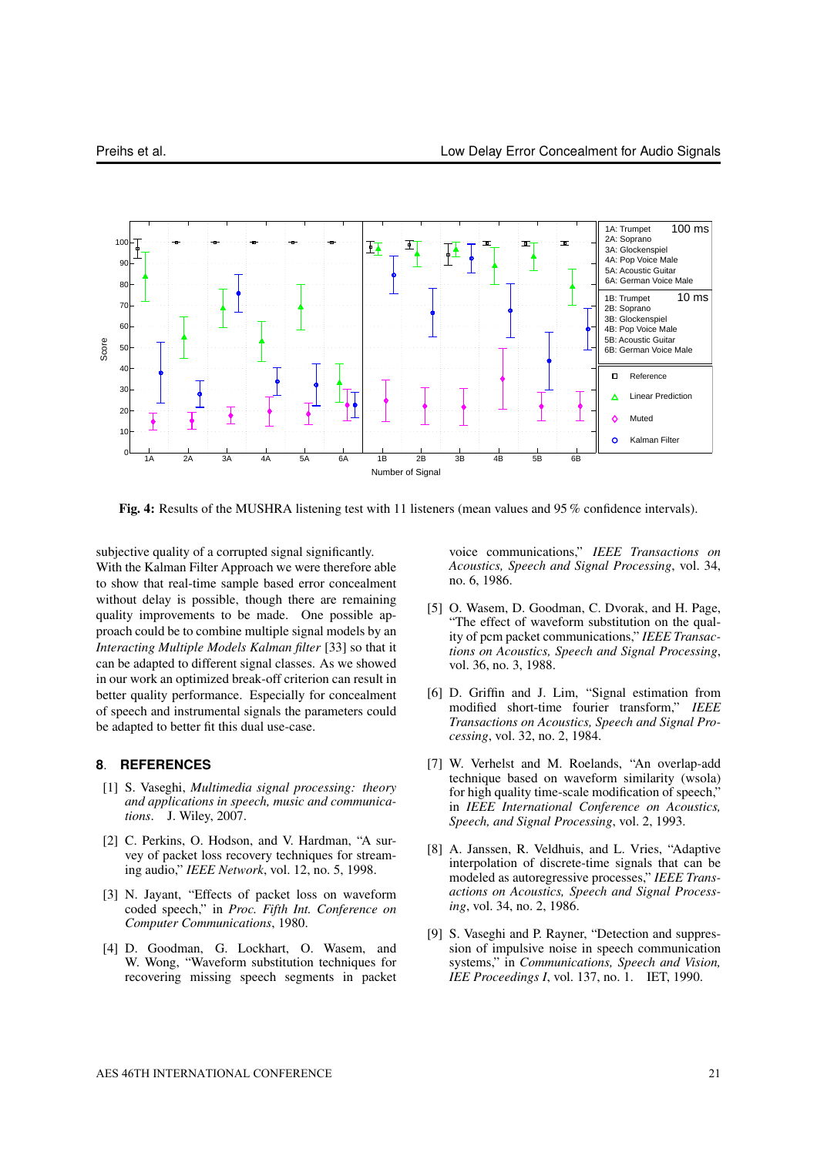

Fig. 4: Results of the MUSHRA listening test with 11 listeners (mean values and 95 % confidence intervals).

subjective quality of a corrupted signal significantly. With the Kalman Filter Approach we were therefore able to show that real-time sample based error concealment without delay is possible, though there are remaining quality improvements to be made. One possible approach could be to combine multiple signal models by an *Interacting Multiple Models Kalman filter* [33] so that it can be adapted to different signal classes. As we showed in our work an optimized break-off criterion can result in better quality performance. Especially for concealment of speech and instrumental signals the parameters could be adapted to better fit this dual use-case.

#### **8**. **REFERENCES**

- [1] S. Vaseghi, *Multimedia signal processing: theory and applications in speech, music and communications*. J. Wiley, 2007.
- [2] C. Perkins, O. Hodson, and V. Hardman, "A survey of packet loss recovery techniques for streaming audio," *IEEE Network*, vol. 12, no. 5, 1998.
- [3] N. Jayant, "Effects of packet loss on waveform coded speech," in *Proc. Fifth Int. Conference on Computer Communications*, 1980.
- [4] D. Goodman, G. Lockhart, O. Wasem, and W. Wong, "Waveform substitution techniques for recovering missing speech segments in packet

voice communications," *IEEE Transactions on Acoustics, Speech and Signal Processing*, vol. 34, no. 6, 1986.

- [5] O. Wasem, D. Goodman, C. Dvorak, and H. Page, "The effect of waveform substitution on the quality of pcm packet communications," *IEEE Transactions on Acoustics, Speech and Signal Processing*, vol. 36, no. 3, 1988.
- [6] D. Griffin and J. Lim, "Signal estimation from modified short-time fourier transform," *IEEE Transactions on Acoustics, Speech and Signal Processing*, vol. 32, no. 2, 1984.
- [7] W. Verhelst and M. Roelands, "An overlap-add technique based on waveform similarity (wsola) for high quality time-scale modification of speech," in *IEEE International Conference on Acoustics, Speech, and Signal Processing*, vol. 2, 1993.
- [8] A. Janssen, R. Veldhuis, and L. Vries, "Adaptive interpolation of discrete-time signals that can be modeled as autoregressive processes," *IEEE Transactions on Acoustics, Speech and Signal Processing*, vol. 34, no. 2, 1986.
- [9] S. Vaseghi and P. Rayner, "Detection and suppression of impulsive noise in speech communication systems," in *Communications, Speech and Vision, IEE Proceedings I*, vol. 137, no. 1. IET, 1990.